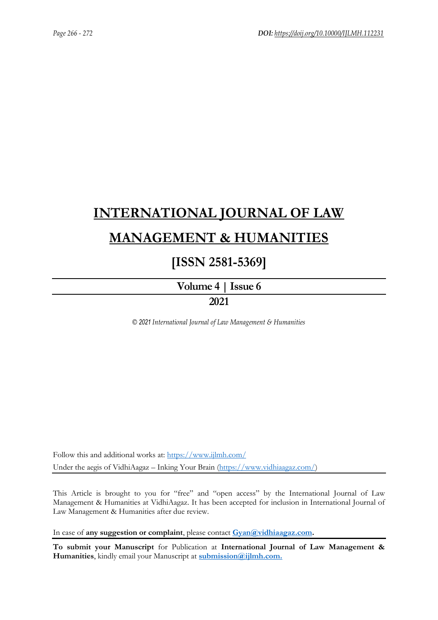# **[INTERNATIONAL JOURNAL OF LAW](https://www.ijlmh.com/)  [MANAGEMENT & HUMANITIES](https://www.ijlmh.com/)**

### **[ISSN 2581-5369]**

**[Volume 4 |](https://www.ijlmh.com/publications/volume-iv-issue-vi/) Issue 6**

### **2021**

*© 2021 International Journal of Law Management & Humanities*

Follow this and additional works at:<https://www.ijlmh.com/> Under the aegis of VidhiAagaz – Inking Your Brain [\(https://www.vidhiaagaz.com/\)](https://www.vidhiaagaz.com/)

This Article is brought to you for "free" and "open access" by the International Journal of Law Management & Humanities at VidhiAagaz. It has been accepted for inclusion in International Journal of Law Management & Humanities after due review.

In case of **any suggestion or complaint**, please contact **[Gyan@vidhiaagaz.com.](mailto:Gyan@vidhiaagaz.com)** 

**To submit your Manuscript** for Publication at **International Journal of Law Management & Humanities**, kindly email your Manuscript at **[submission@ijlmh.com.](mailto:submission@ijlmh.com)**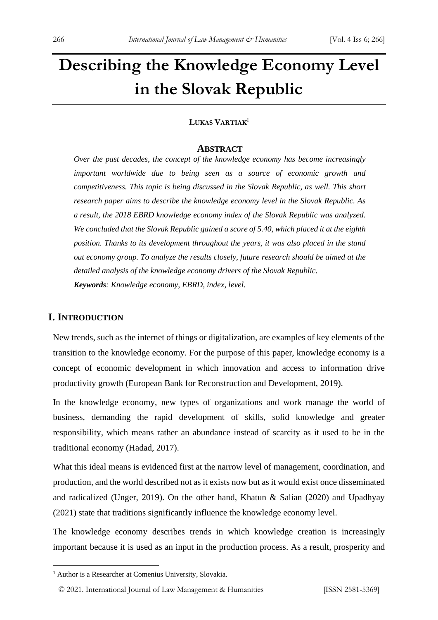## **Describing the Knowledge Economy Level in the Slovak Republic**

#### **LUKAS VARTIAK<sup>1</sup>**

#### **ABSTRACT**

*Over the past decades, the concept of the knowledge economy has become increasingly important worldwide due to being seen as a source of economic growth and competitiveness. This topic is being discussed in the Slovak Republic, as well. This short research paper aims to describe the knowledge economy level in the Slovak Republic. As a result, the 2018 EBRD knowledge economy index of the Slovak Republic was analyzed. We concluded that the Slovak Republic gained a score of 5.40, which placed it at the eighth position. Thanks to its development throughout the years, it was also placed in the stand out economy group. To analyze the results closely, future research should be aimed at the detailed analysis of the knowledge economy drivers of the Slovak Republic. Keywords: Knowledge economy, EBRD, index, level.*

#### **I. INTRODUCTION**

New trends, such as the internet of things or digitalization, are examples of key elements of the transition to the knowledge economy. For the purpose of this paper, knowledge economy is a concept of economic development in which innovation and access to information drive productivity growth (European Bank for Reconstruction and Development, 2019).

In the knowledge economy, new types of organizations and work manage the world of business, demanding the rapid development of skills, solid knowledge and greater responsibility, which means rather an abundance instead of scarcity as it used to be in the traditional economy (Hadad, 2017).

What this ideal means is evidenced first at the narrow level of management, coordination, and production, and the world described not as it exists now but as it would exist once disseminated and radicalized (Unger, 2019). On the other hand, Khatun & Salian (2020) and Upadhyay (2021) state that traditions significantly influence the knowledge economy level.

The knowledge economy describes trends in which knowledge creation is increasingly important because it is used as an input in the production process. As a result, prosperity and

<sup>&</sup>lt;sup>1</sup> Author is a Researcher at Comenius University, Slovakia.

<sup>© 2021.</sup> International Journal of [Law Management & Humanities](https://www.ijlmh.com/) [ISSN 2581-5369]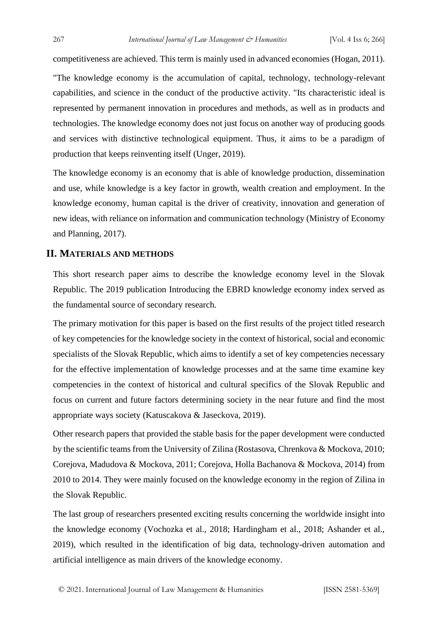competitiveness are achieved. This term is mainly used in advanced economies (Hogan, 2011).

"The knowledge economy is the accumulation of capital, technology, technology-relevant capabilities, and science in the conduct of the productive activity. "Its characteristic ideal is represented by permanent innovation in procedures and methods, as well as in products and technologies. The knowledge economy does not just focus on another way of producing goods and services with distinctive technological equipment. Thus, it aims to be a paradigm of production that keeps reinventing itself (Unger, 2019).

The knowledge economy is an economy that is able of knowledge production, dissemination and use, while knowledge is a key factor in growth, wealth creation and employment. In the knowledge economy, human capital is the driver of creativity, innovation and generation of new ideas, with reliance on information and communication technology (Ministry of Economy and Planning, 2017).

#### **II. MATERIALS AND METHODS**

This short research paper aims to describe the knowledge economy level in the Slovak Republic. The 2019 publication Introducing the EBRD knowledge economy index served as the fundamental source of secondary research.

The primary motivation for this paper is based on the first results of the project titled research of key competencies for the knowledge society in the context of historical, social and economic specialists of the Slovak Republic, which aims to identify a set of key competencies necessary for the effective implementation of knowledge processes and at the same time examine key competencies in the context of historical and cultural specifics of the Slovak Republic and focus on current and future factors determining society in the near future and find the most appropriate ways society (Katuscakova & Jaseckova, 2019).

Other research papers that provided the stable basis for the paper development were conducted by the scientific teams from the University of Zilina (Rostasova, Chrenkova & Mockova, 2010; Corejova, Madudova & Mockova, 2011; Corejova, Holla Bachanova & Mockova, 2014) from 2010 to 2014. They were mainly focused on the knowledge economy in the region of Zilina in the Slovak Republic.

The last group of researchers presented exciting results concerning the worldwide insight into the knowledge economy (Vochozka et al., 2018; Hardingham et al., 2018; Ashander et al., 2019), which resulted in the identification of big data, technology-driven automation and artificial intelligence as main drivers of the knowledge economy.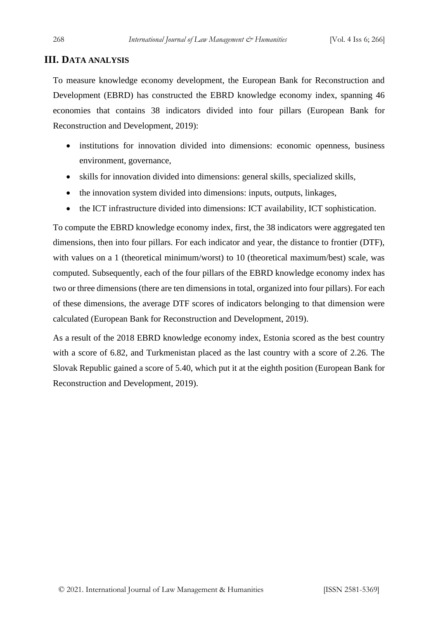#### **III. DATA ANALYSIS**

To measure knowledge economy development, the European Bank for Reconstruction and Development (EBRD) has constructed the EBRD knowledge economy index, spanning 46 economies that contains 38 indicators divided into four pillars (European Bank for Reconstruction and Development, 2019):

- institutions for innovation divided into dimensions: economic openness, business environment, governance,
- skills for innovation divided into dimensions: general skills, specialized skills,
- the innovation system divided into dimensions: inputs, outputs, linkages,
- the ICT infrastructure divided into dimensions: ICT availability, ICT sophistication.

To compute the EBRD knowledge economy index, first, the 38 indicators were aggregated ten dimensions, then into four pillars. For each indicator and year, the distance to frontier (DTF), with values on a 1 (theoretical minimum/worst) to 10 (theoretical maximum/best) scale, was computed. Subsequently, each of the four pillars of the EBRD knowledge economy index has two or three dimensions (there are ten dimensions in total, organized into four pillars). For each of these dimensions, the average DTF scores of indicators belonging to that dimension were calculated (European Bank for Reconstruction and Development, 2019).

As a result of the 2018 EBRD knowledge economy index, Estonia scored as the best country with a score of 6.82, and Turkmenistan placed as the last country with a score of 2.26. The Slovak Republic gained a score of 5.40, which put it at the eighth position (European Bank for Reconstruction and Development, 2019).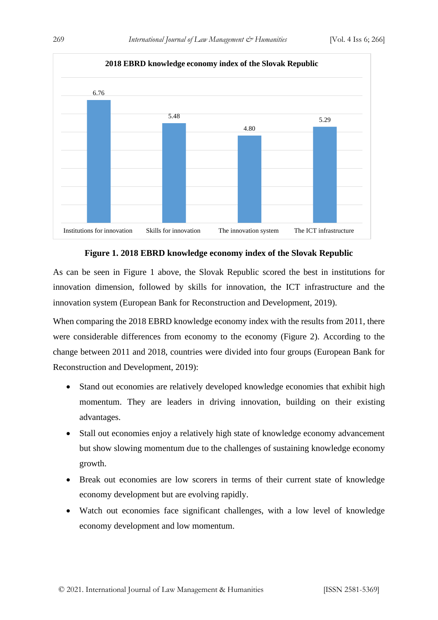

#### **Figure 1. 2018 EBRD knowledge economy index of the Slovak Republic**

As can be seen in Figure 1 above, the Slovak Republic scored the best in institutions for innovation dimension, followed by skills for innovation, the ICT infrastructure and the innovation system (European Bank for Reconstruction and Development, 2019).

When comparing the 2018 EBRD knowledge economy index with the results from 2011, there were considerable differences from economy to the economy (Figure 2). According to the change between 2011 and 2018, countries were divided into four groups (European Bank for Reconstruction and Development, 2019):

- Stand out economies are relatively developed knowledge economies that exhibit high momentum. They are leaders in driving innovation, building on their existing advantages.
- Stall out economies enjoy a relatively high state of knowledge economy advancement but show slowing momentum due to the challenges of sustaining knowledge economy growth.
- Break out economies are low scorers in terms of their current state of knowledge economy development but are evolving rapidly.
- Watch out economies face significant challenges, with a low level of knowledge economy development and low momentum.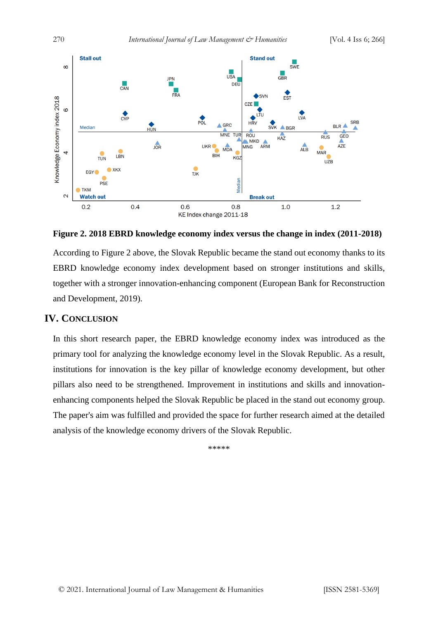

**Figure 2. 2018 EBRD knowledge economy index versus the change in index (2011-2018)**

According to Figure 2 above, the Slovak Republic became the stand out economy thanks to its EBRD knowledge economy index development based on stronger institutions and skills, together with a stronger innovation-enhancing component (European Bank for Reconstruction and Development, 2019).

#### **IV. CONCLUSION**

In this short research paper, the EBRD knowledge economy index was introduced as the primary tool for analyzing the knowledge economy level in the Slovak Republic. As a result, institutions for innovation is the key pillar of knowledge economy development, but other pillars also need to be strengthened. Improvement in institutions and skills and innovationenhancing components helped the Slovak Republic be placed in the stand out economy group. The paper's aim was fulfilled and provided the space for further research aimed at the detailed analysis of the knowledge economy drivers of the Slovak Republic.

\*\*\*\*\*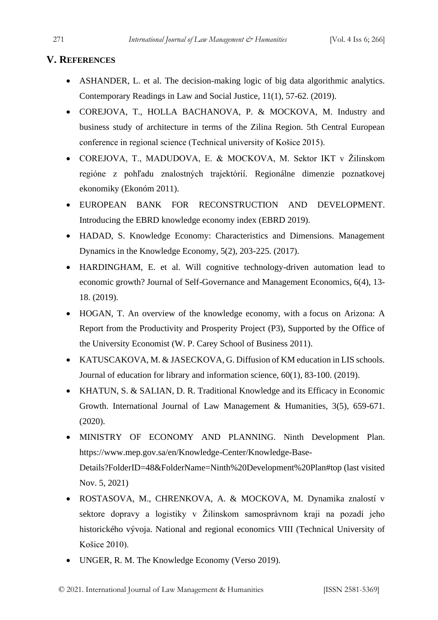#### **V. REFERENCES**

- ASHANDER, L. et al. The decision-making logic of big data algorithmic analytics. Contemporary Readings in Law and Social Justice, 11(1), 57-62. (2019).
- COREJOVA, T., HOLLA BACHANOVA, P. & MOCKOVA, M. Industry and business study of architecture in terms of the Zilina Region. 5th Central European conference in regional science (Technical university of Košice 2015).
- COREJOVA, T., MADUDOVA, E. & MOCKOVA, M. Sektor IKT v Žilinskom regióne z pohľadu znalostných trajektórií. Regionálne dimenzie poznatkovej ekonomiky (Ekonóm 2011).
- EUROPEAN BANK FOR RECONSTRUCTION AND DEVELOPMENT. Introducing the EBRD knowledge economy index (EBRD 2019).
- HADAD, S. Knowledge Economy: Characteristics and Dimensions. Management Dynamics in the Knowledge Economy, 5(2), 203-225. (2017).
- HARDINGHAM, E. et al. Will cognitive technology-driven automation lead to economic growth? Journal of Self-Governance and Management Economics, 6(4), 13- 18. (2019).
- HOGAN, T. An overview of the knowledge economy, with a focus on Arizona: A Report from the Productivity and Prosperity Project (P3), Supported by the Office of the University Economist (W. P. Carey School of Business 2011).
- KATUSCAKOVA, M. & JASECKOVA, G. Diffusion of KM education in LIS schools. Journal of education for library and information science, 60(1), 83-100. (2019).
- KHATUN, S. & SALIAN, D. R. Traditional Knowledge and its Efficacy in Economic Growth. International Journal of Law Management & Humanities, 3(5), 659-671. (2020).
- MINISTRY OF ECONOMY AND PLANNING. Ninth Development Plan. https://www.mep.gov.sa/en/Knowledge-Center/Knowledge-Base-Details?FolderID=48&FolderName=Ninth%20Development%20Plan#top (last visited Nov. 5, 2021)
- ROSTASOVA, M., CHRENKOVA, A. & MOCKOVA, M. Dynamika znalostí v sektore dopravy a logistiky v Žilinskom samosprávnom kraji na pozadí jeho historického vývoja. National and regional economics VIII (Technical University of Košice 2010).
- UNGER, R. M. The Knowledge Economy (Verso 2019).